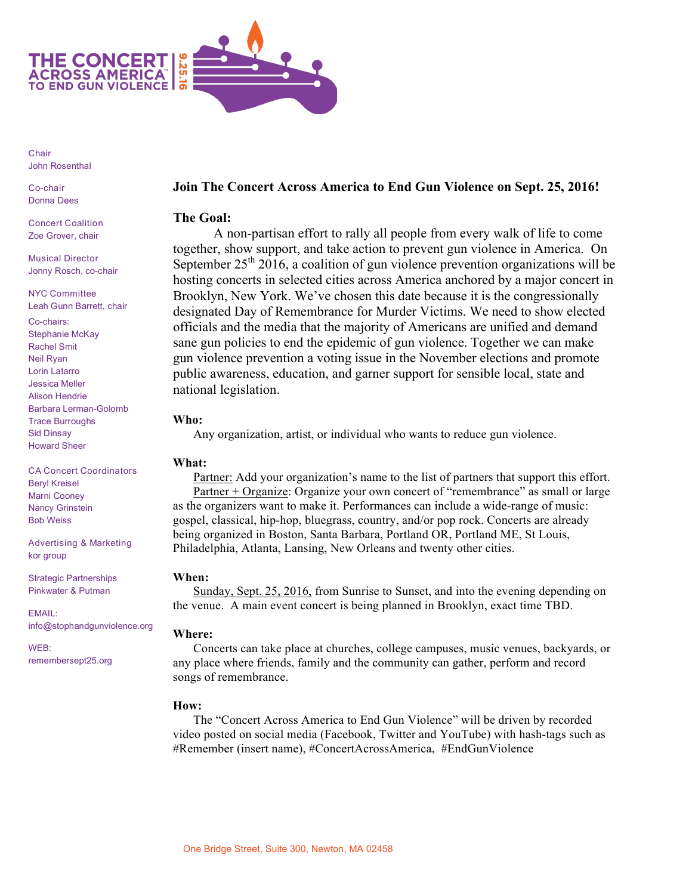

Chair John Rosenthal

Co-chair Donna Dees

Concert Coalition Zoe Grover, chair

Musical Director Jonny Rosch, co-chair

NYC Committee Leah Gunn Barrett, chair

Co-chairs: Stephanie McKay Rachel Smit Neil Ryan Lorin Latarro Jessica Meller Alison Hendrie Barbara Lerman-Golomb Trace Burroughs Sid Dinsay Howard Sheer

CA Concert Coordinators Beryl Kreisel Marni Cooney Nancy Grinstein Bob Weiss

Advertising & Marketing kor group

Strategic Partnerships Pinkwater & Putman

EMAIL: info@stophandgunviolence.org

WEB: remembersept25.org

# **Join The Concert Across America to End Gun Violence on Sept. 25, 2016!**

## **The Goal:**

A non-partisan effort to rally all people from every walk of life to come together, show support, and take action to prevent gun violence in America. On September  $25<sup>th</sup> 2016$ , a coalition of gun violence prevention organizations will be hosting concerts in selected cities across America anchored by a major concert in Brooklyn, New York. We've chosen this date because it is the congressionally designated Day of Remembrance for Murder Victims. We need to show elected officials and the media that the majority of Americans are unified and demand sane gun policies to end the epidemic of gun violence. Together we can make gun violence prevention a voting issue in the November elections and promote public awareness, education, and garner support for sensible local, state and national legislation.

#### **Who:**

Any organization, artist, or individual who wants to reduce gun violence.

# **What:**

Partner: Add your organization's name to the list of partners that support this effort. Partner + Organize: Organize your own concert of "remembrance" as small or large as the organizers want to make it. Performances can include a wide-range of music: gospel, classical, hip-hop, bluegrass, country, and/or pop rock. Concerts are already being organized in Boston, Santa Barbara, Portland OR, Portland ME, St Louis, Philadelphia, Atlanta, Lansing, New Orleans and twenty other cities.

#### **When:**

Sunday, Sept. 25, 2016, from Sunrise to Sunset, and into the evening depending on the venue. A main event concert is being planned in Brooklyn, exact time TBD.

# **Where:**

Concerts can take place at churches, college campuses, music venues, backyards, or any place where friends, family and the community can gather, perform and record songs of remembrance.

# **How:**

The "Concert Across America to End Gun Violence" will be driven by recorded video posted on social media (Facebook, Twitter and YouTube) with hash-tags such as #Remember (insert name), #ConcertAcrossAmerica, #EndGunViolence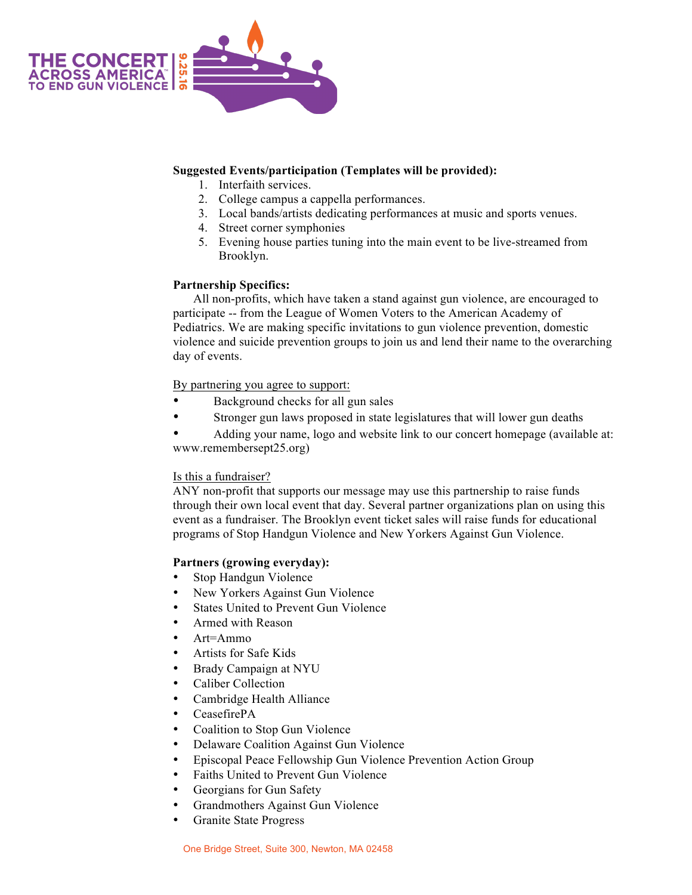

## **Suggested Events/participation (Templates will be provided):**

- 1. Interfaith services.
- 2. College campus a cappella performances.
- 3. Local bands/artists dedicating performances at music and sports venues.
- 4. Street corner symphonies
- 5. Evening house parties tuning into the main event to be live-streamed from Brooklyn.

#### **Partnership Specifics:**

All non-profits, which have taken a stand against gun violence, are encouraged to participate -- from the League of Women Voters to the American Academy of Pediatrics. We are making specific invitations to gun violence prevention, domestic violence and suicide prevention groups to join us and lend their name to the overarching day of events.

By partnering you agree to support:

- Background checks for all gun sales
- Stronger gun laws proposed in state legislatures that will lower gun deaths

Adding your name, logo and website link to our concert homepage (available at: www.remembersept25.org)

#### Is this a fundraiser?

ANY non-profit that supports our message may use this partnership to raise funds through their own local event that day. Several partner organizations plan on using this event as a fundraiser. The Brooklyn event ticket sales will raise funds for educational programs of Stop Handgun Violence and New Yorkers Against Gun Violence.

# **Partners (growing everyday):**

- Stop Handgun Violence
- New Yorkers Against Gun Violence
- States United to Prevent Gun Violence
- Armed with Reason
- $Art = A m m$
- Artists for Safe Kids
- Brady Campaign at NYU
- Caliber Collection
- Cambridge Health Alliance
- CeasefirePA
- Coalition to Stop Gun Violence
- Delaware Coalition Against Gun Violence
- Episcopal Peace Fellowship Gun Violence Prevention Action Group
- Faiths United to Prevent Gun Violence
- Georgians for Gun Safety
- Grandmothers Against Gun Violence
- Granite State Progress